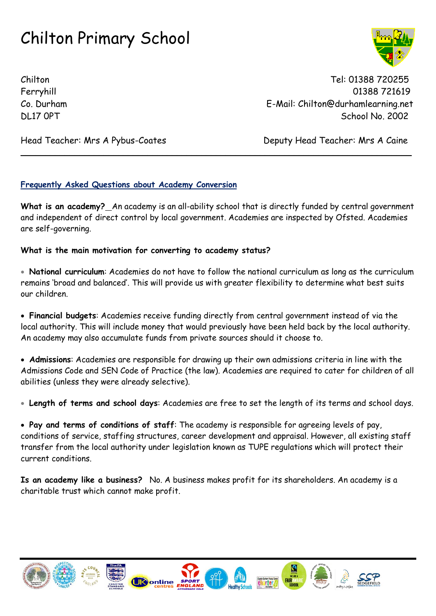Chilton Tel: 01388 720255 Ferryhill 01388 721619 Co. Durham E-Mail: Chilton@durhamlearning.net DL17 OPT School No. 2002

Head Teacher: Mrs A Pybus-Coates Deputy Head Teacher: Mrs A Caine

#### **Frequently Asked Questions about Academy Conversion**

**What is an academy?** An academy is an all-ability school that is directly funded by central government and independent of direct control by local government. Academies are inspected by Ofsted. Academies are self-governing.

 $\_$  ,  $\_$  ,  $\_$  ,  $\_$  ,  $\_$  ,  $\_$  ,  $\_$  ,  $\_$  ,  $\_$  ,  $\_$  ,  $\_$  ,  $\_$  ,  $\_$  ,  $\_$  ,  $\_$  ,  $\_$  ,  $\_$  ,  $\_$  ,  $\_$  ,  $\_$  ,  $\_$  ,  $\_$  ,  $\_$  ,  $\_$  ,  $\_$  ,  $\_$  ,  $\_$  ,  $\_$  ,  $\_$  ,  $\_$  ,  $\_$  ,  $\_$  ,  $\_$  ,  $\_$  ,  $\_$  ,  $\_$  ,  $\_$  ,

#### **What is the main motivation for converting to academy status?**

 **National curriculum**: Academies do not have to follow the national curriculum as long as the curriculum remains 'broad and balanced'. This will provide us with greater flexibility to determine what best suits our children.

 **Financial budgets**: Academies receive funding directly from central government instead of via the local authority. This will include money that would previously have been held back by the local authority. An academy may also accumulate funds from private sources should it choose to.

 **Admissions**: Academies are responsible for drawing up their own admissions criteria in line with the Admissions Code and SEN Code of Practice (the law). Academies are required to cater for children of all abilities (unless they were already selective).

**Length of terms and school days**: Academies are free to set the length of its terms and school days.

 **Pay and terms of conditions of staff**: The academy is responsible for agreeing levels of pay, conditions of service, staffing structures, career development and appraisal. However, all existing staff transfer from the local authority under legislation known as TUPE regulations which will protect their current conditions.

**Is an academy like a business?** No. A business makes profit for its shareholders. An academy is a charitable trust which cannot make profit.



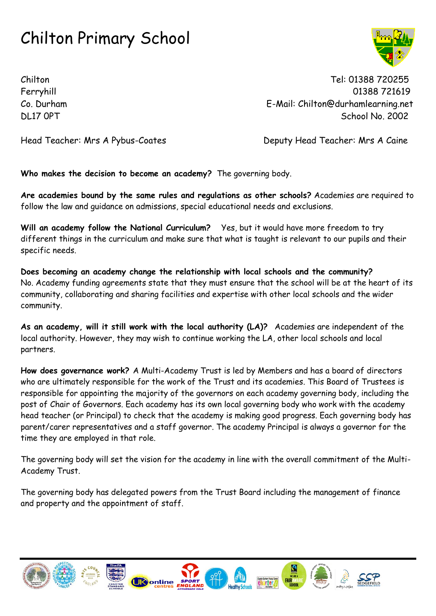Chilton Tel: 01388 720255 Ferryhill 01388 721619 Co. Durham E-Mail: Chilton@durhamlearning.net DL17 OPT School No. 2002

Head Teacher: Mrs A Pybus-Coates Deputy Head Teacher: Mrs A Caine

**Who makes the decision to become an academy?** The governing body.

**Are academies bound by the same rules and regulations as other schools?** Academies are required to follow the law and guidance on admissions, special educational needs and exclusions.

**Will an academy follow the National Curriculum?** Yes, but it would have more freedom to try different things in the curriculum and make sure that what is taught is relevant to our pupils and their specific needs.

**Does becoming an academy change the relationship with local schools and the community?** No. Academy funding agreements state that they must ensure that the school will be at the heart of its community, collaborating and sharing facilities and expertise with other local schools and the wider community.

**As an academy, will it still work with the local authority (LA)?** Academies are independent of the local authority. However, they may wish to continue working the LA, other local schools and local partners.

**How does governance work?** A Multi-Academy Trust is led by Members and has a board of directors who are ultimately responsible for the work of the Trust and its academies. This Board of Trustees is responsible for appointing the majority of the governors on each academy governing body, including the post of Chair of Governors. Each academy has its own local governing body who work with the academy head teacher (or Principal) to check that the academy is making good progress. Each governing body has parent/carer representatives and a staff governor. The academy Principal is always a governor for the time they are employed in that role.

The governing body will set the vision for the academy in line with the overall commitment of the Multi-Academy Trust.

The governing body has delegated powers from the Trust Board including the management of finance and property and the appointment of staff.

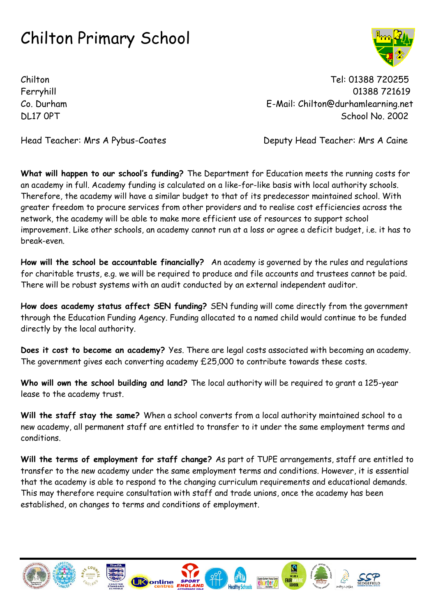Chilton Tel: 01388 720255 Ferryhill 01388 721619 Co. Durham E-Mail: Chilton@durhamlearning.net DL17 OPT School No. 2002

Head Teacher: Mrs A Pybus-Coates **Deputy Head Teacher: Mrs A Caine** 

**What will happen to our school's funding?** The Department for Education meets the running costs for an academy in full. Academy funding is calculated on a like-for-like basis with local authority schools. Therefore, the academy will have a similar budget to that of its predecessor maintained school. With greater freedom to procure services from other providers and to realise cost efficiencies across the network, the academy will be able to make more efficient use of resources to support school improvement. Like other schools, an academy cannot run at a loss or agree a deficit budget, i.e. it has to break-even.

**How will the school be accountable financially?** An academy is governed by the rules and regulations for charitable trusts, e.g. we will be required to produce and file accounts and trustees cannot be paid. There will be robust systems with an audit conducted by an external independent auditor.

**How does academy status affect SEN funding?** SEN funding will come directly from the government through the Education Funding Agency. Funding allocated to a named child would continue to be funded directly by the local authority.

**Does it cost to become an academy?** Yes. There are legal costs associated with becoming an academy. The government gives each converting academy £25,000 to contribute towards these costs.

**Who will own the school building and land?** The local authority will be required to grant a 125-year lease to the academy trust.

**Will the staff stay the same?** When a school converts from a local authority maintained school to a new academy, all permanent staff are entitled to transfer to it under the same employment terms and conditions.

**Will the terms of employment for staff change?** As part of TUPE arrangements, staff are entitled to transfer to the new academy under the same employment terms and conditions. However, it is essential that the academy is able to respond to the changing curriculum requirements and educational demands. This may therefore require consultation with staff and trade unions, once the academy has been established, on changes to terms and conditions of employment.